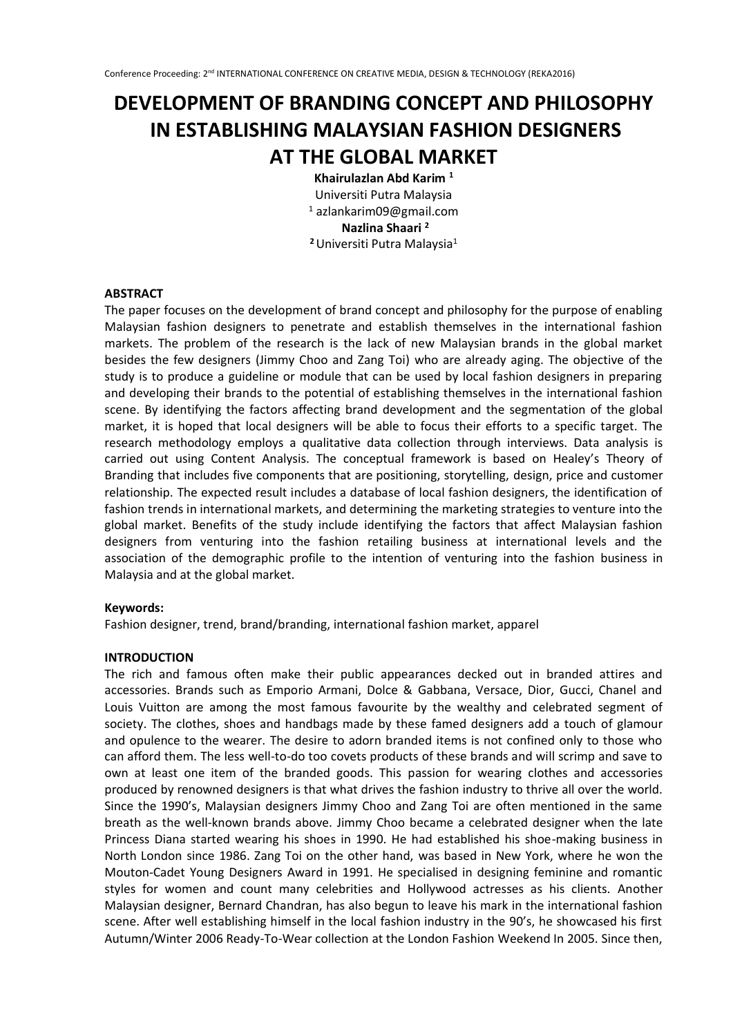# **DEVELOPMENT OF BRANDING CONCEPT AND PHILOSOPHY IN ESTABLISHING MALAYSIAN FASHION DESIGNERS AT THE GLOBAL MARKET**

**Khairulazlan Abd Karim <sup>1</sup>**

Universiti Putra Malaysia <sup>1</sup> azlankarim09@gmail.com **Nazlina Shaari <sup>2</sup> <sup>2</sup>**Universiti Putra Malaysia<sup>1</sup>

### **ABSTRACT**

The paper focuses on the development of brand concept and philosophy for the purpose of enabling Malaysian fashion designers to penetrate and establish themselves in the international fashion markets. The problem of the research is the lack of new Malaysian brands in the global market besides the few designers (Jimmy Choo and Zang Toi) who are already aging. The objective of the study is to produce a guideline or module that can be used by local fashion designers in preparing and developing their brands to the potential of establishing themselves in the international fashion scene. By identifying the factors affecting brand development and the segmentation of the global market, it is hoped that local designers will be able to focus their efforts to a specific target. The research methodology employs a qualitative data collection through interviews. Data analysis is carried out using Content Analysis. The conceptual framework is based on Healey's Theory of Branding that includes five components that are positioning, storytelling, design, price and customer relationship. The expected result includes a database of local fashion designers, the identification of fashion trends in international markets, and determining the marketing strategies to venture into the global market. Benefits of the study include identifying the factors that affect Malaysian fashion designers from venturing into the fashion retailing business at international levels and the association of the demographic profile to the intention of venturing into the fashion business in Malaysia and at the global market.

### **Keywords:**

Fashion designer, trend, brand/branding, international fashion market, apparel

# **INTRODUCTION**

The rich and famous often make their public appearances decked out in branded attires and accessories. Brands such as Emporio Armani, Dolce & Gabbana, Versace, Dior, Gucci, Chanel and Louis Vuitton are among the most famous favourite by the wealthy and celebrated segment of society. The clothes, shoes and handbags made by these famed designers add a touch of glamour and opulence to the wearer. The desire to adorn branded items is not confined only to those who can afford them. The less well-to-do too covets products of these brands and will scrimp and save to own at least one item of the branded goods. This passion for wearing clothes and accessories produced by renowned designers is that what drives the fashion industry to thrive all over the world. Since the 1990's, Malaysian designers Jimmy Choo and Zang Toi are often mentioned in the same breath as the well-known brands above. Jimmy Choo became a celebrated designer when the late Princess Diana started wearing his shoes in 1990. He had established his shoe-making business in North London since 1986. Zang Toi on the other hand, was based in New York, where he won the Mouton-Cadet Young Designers Award in 1991. He specialised in designing feminine and romantic styles for women and count many celebrities and Hollywood actresses as his clients. Another Malaysian designer, Bernard Chandran, has also begun to leave his mark in the international fashion scene. After well establishing himself in the local fashion industry in the 90's, he showcased his first Autumn/Winter 2006 Ready-To-Wear collection at the London Fashion Weekend In 2005. Since then,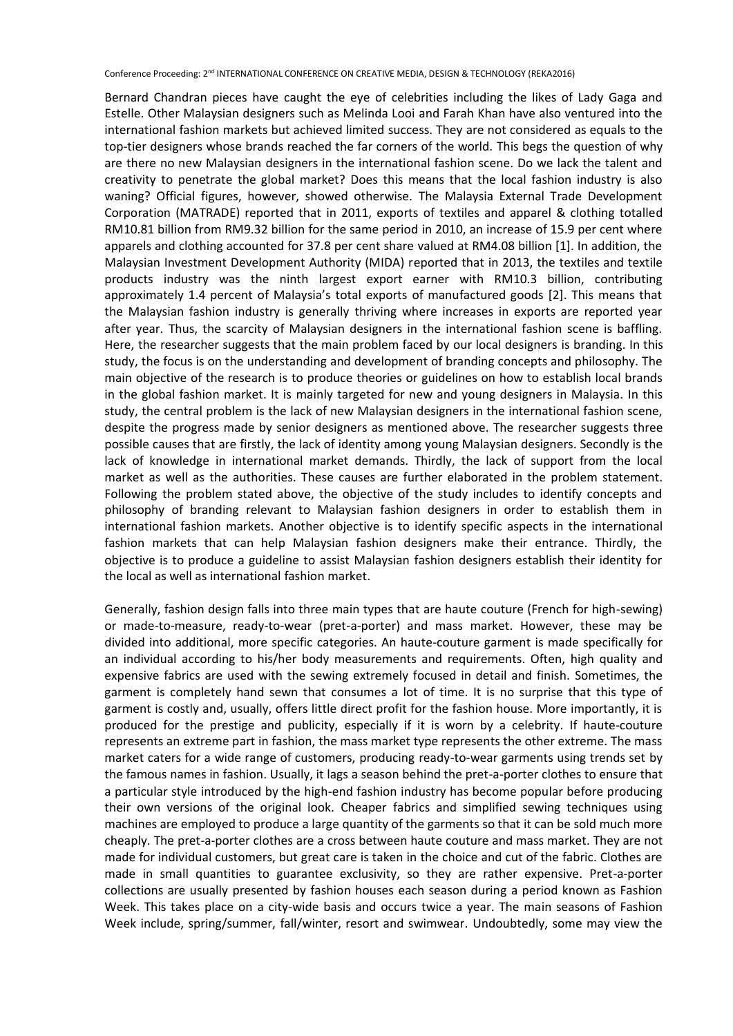Bernard Chandran pieces have caught the eye of celebrities including the likes of Lady Gaga and Estelle. Other Malaysian designers such as Melinda Looi and Farah Khan have also ventured into the international fashion markets but achieved limited success. They are not considered as equals to the top-tier designers whose brands reached the far corners of the world. This begs the question of why are there no new Malaysian designers in the international fashion scene. Do we lack the talent and creativity to penetrate the global market? Does this means that the local fashion industry is also waning? Official figures, however, showed otherwise. The Malaysia External Trade Development Corporation (MATRADE) reported that in 2011, exports of textiles and apparel & clothing totalled RM10.81 billion from RM9.32 billion for the same period in 2010, an increase of 15.9 per cent where apparels and clothing accounted for 37.8 per cent share valued at RM4.08 billion [1]. In addition, the Malaysian Investment Development Authority (MIDA) reported that in 2013, the textiles and textile products industry was the ninth largest export earner with RM10.3 billion, contributing approximately 1.4 percent of Malaysia's total exports of manufactured goods [2]. This means that the Malaysian fashion industry is generally thriving where increases in exports are reported year after year. Thus, the scarcity of Malaysian designers in the international fashion scene is baffling. Here, the researcher suggests that the main problem faced by our local designers is branding. In this study, the focus is on the understanding and development of branding concepts and philosophy. The main objective of the research is to produce theories or guidelines on how to establish local brands in the global fashion market. It is mainly targeted for new and young designers in Malaysia. In this study, the central problem is the lack of new Malaysian designers in the international fashion scene, despite the progress made by senior designers as mentioned above. The researcher suggests three possible causes that are firstly, the lack of identity among young Malaysian designers. Secondly is the lack of knowledge in international market demands. Thirdly, the lack of support from the local market as well as the authorities. These causes are further elaborated in the problem statement. Following the problem stated above, the objective of the study includes to identify concepts and philosophy of branding relevant to Malaysian fashion designers in order to establish them in international fashion markets. Another objective is to identify specific aspects in the international fashion markets that can help Malaysian fashion designers make their entrance. Thirdly, the objective is to produce a guideline to assist Malaysian fashion designers establish their identity for the local as well as international fashion market.

Generally, fashion design falls into three main types that are haute couture (French for high-sewing) or made-to-measure, ready-to-wear (pret-a-porter) and mass market. However, these may be divided into additional, more specific categories. An haute-couture garment is made specifically for an individual according to his/her body measurements and requirements. Often, high quality and expensive fabrics are used with the sewing extremely focused in detail and finish. Sometimes, the garment is completely hand sewn that consumes a lot of time. It is no surprise that this type of garment is costly and, usually, offers little direct profit for the fashion house. More importantly, it is produced for the prestige and publicity, especially if it is worn by a celebrity. If haute-couture represents an extreme part in fashion, the mass market type represents the other extreme. The mass market caters for a wide range of customers, producing ready-to-wear garments using trends set by the famous names in fashion. Usually, it lags a season behind the pret-a-porter clothes to ensure that a particular style introduced by the high-end fashion industry has become popular before producing their own versions of the original look. Cheaper fabrics and simplified sewing techniques using machines are employed to produce a large quantity of the garments so that it can be sold much more cheaply. The pret-a-porter clothes are a cross between haute couture and mass market. They are not made for individual customers, but great care is taken in the choice and cut of the fabric. Clothes are made in small quantities to guarantee exclusivity, so they are rather expensive. Pret-a-porter collections are usually presented by fashion houses each season during a period known as Fashion Week. This takes place on a city-wide basis and occurs twice a year. The main seasons of Fashion Week include, spring/summer, fall/winter, resort and swimwear. Undoubtedly, some may view the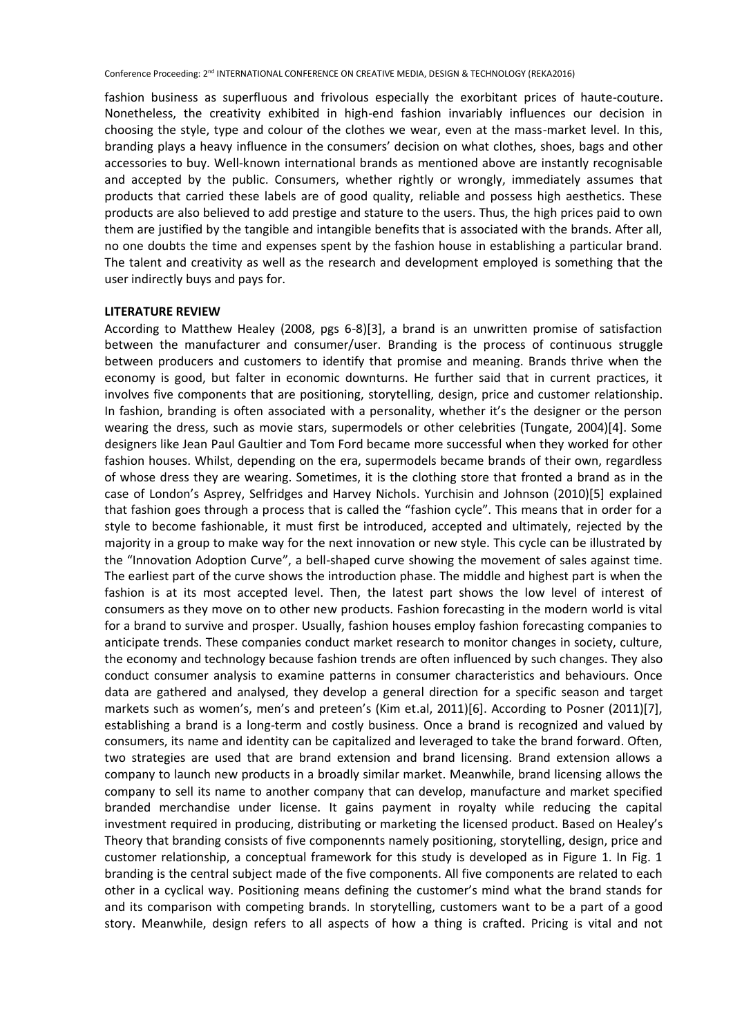fashion business as superfluous and frivolous especially the exorbitant prices of haute-couture. Nonetheless, the creativity exhibited in high-end fashion invariably influences our decision in choosing the style, type and colour of the clothes we wear, even at the mass-market level. In this, branding plays a heavy influence in the consumers' decision on what clothes, shoes, bags and other accessories to buy. Well-known international brands as mentioned above are instantly recognisable and accepted by the public. Consumers, whether rightly or wrongly, immediately assumes that products that carried these labels are of good quality, reliable and possess high aesthetics. These products are also believed to add prestige and stature to the users. Thus, the high prices paid to own them are justified by the tangible and intangible benefits that is associated with the brands. After all, no one doubts the time and expenses spent by the fashion house in establishing a particular brand. The talent and creativity as well as the research and development employed is something that the user indirectly buys and pays for.

### **LITERATURE REVIEW**

According to Matthew Healey (2008, pgs 6-8)[3], a brand is an unwritten promise of satisfaction between the manufacturer and consumer/user. Branding is the process of continuous struggle between producers and customers to identify that promise and meaning. Brands thrive when the economy is good, but falter in economic downturns. He further said that in current practices, it involves five components that are positioning, storytelling, design, price and customer relationship. In fashion, branding is often associated with a personality, whether it's the designer or the person wearing the dress, such as movie stars, supermodels or other celebrities (Tungate, 2004)[4]. Some designers like Jean Paul Gaultier and Tom Ford became more successful when they worked for other fashion houses. Whilst, depending on the era, supermodels became brands of their own, regardless of whose dress they are wearing. Sometimes, it is the clothing store that fronted a brand as in the case of London's Asprey, Selfridges and Harvey Nichols. Yurchisin and Johnson (2010)[5] explained that fashion goes through a process that is called the "fashion cycle". This means that in order for a style to become fashionable, it must first be introduced, accepted and ultimately, rejected by the majority in a group to make way for the next innovation or new style. This cycle can be illustrated by the "Innovation Adoption Curve", a bell-shaped curve showing the movement of sales against time. The earliest part of the curve shows the introduction phase. The middle and highest part is when the fashion is at its most accepted level. Then, the latest part shows the low level of interest of consumers as they move on to other new products. Fashion forecasting in the modern world is vital for a brand to survive and prosper. Usually, fashion houses employ fashion forecasting companies to anticipate trends. These companies conduct market research to monitor changes in society, culture, the economy and technology because fashion trends are often influenced by such changes. They also conduct consumer analysis to examine patterns in consumer characteristics and behaviours. Once data are gathered and analysed, they develop a general direction for a specific season and target markets such as women's, men's and preteen's (Kim et.al, 2011)[6]. According to Posner (2011)[7], establishing a brand is a long-term and costly business. Once a brand is recognized and valued by consumers, its name and identity can be capitalized and leveraged to take the brand forward. Often, two strategies are used that are brand extension and brand licensing. Brand extension allows a company to launch new products in a broadly similar market. Meanwhile, brand licensing allows the company to sell its name to another company that can develop, manufacture and market specified branded merchandise under license. It gains payment in royalty while reducing the capital investment required in producing, distributing or marketing the licensed product. Based on Healey's Theory that branding consists of five componennts namely positioning, storytelling, design, price and customer relationship, a conceptual framework for this study is developed as in Figure 1. In Fig. 1 branding is the central subject made of the five components. All five components are related to each other in a cyclical way. Positioning means defining the customer's mind what the brand stands for and its comparison with competing brands. In storytelling, customers want to be a part of a good story. Meanwhile, design refers to all aspects of how a thing is crafted. Pricing is vital and not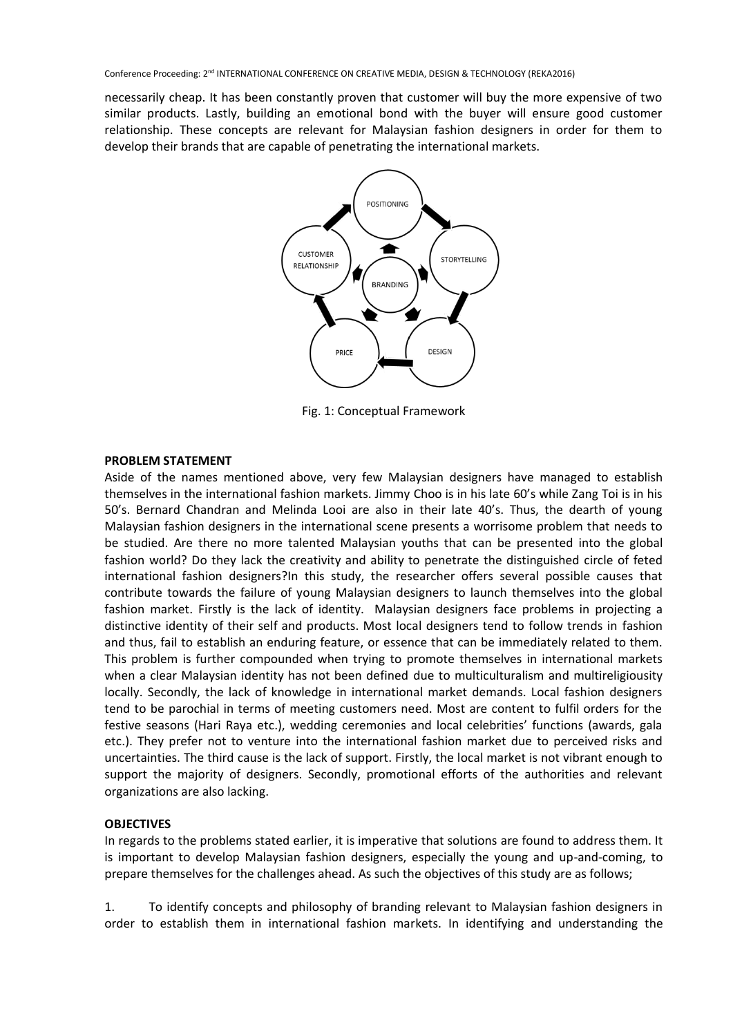necessarily cheap. It has been constantly proven that customer will buy the more expensive of two similar products. Lastly, building an emotional bond with the buyer will ensure good customer relationship. These concepts are relevant for Malaysian fashion designers in order for them to develop their brands that are capable of penetrating the international markets.



Fig. 1: Conceptual Framework

### **PROBLEM STATEMENT**

Aside of the names mentioned above, very few Malaysian designers have managed to establish themselves in the international fashion markets. Jimmy Choo is in his late 60's while Zang Toi is in his 50's. Bernard Chandran and Melinda Looi are also in their late 40's. Thus, the dearth of young Malaysian fashion designers in the international scene presents a worrisome problem that needs to be studied. Are there no more talented Malaysian youths that can be presented into the global fashion world? Do they lack the creativity and ability to penetrate the distinguished circle of feted international fashion designers?In this study, the researcher offers several possible causes that contribute towards the failure of young Malaysian designers to launch themselves into the global fashion market. Firstly is the lack of identity. Malaysian designers face problems in projecting a distinctive identity of their self and products. Most local designers tend to follow trends in fashion and thus, fail to establish an enduring feature, or essence that can be immediately related to them. This problem is further compounded when trying to promote themselves in international markets when a clear Malaysian identity has not been defined due to multiculturalism and multireligiousity locally. Secondly, the lack of knowledge in international market demands. Local fashion designers tend to be parochial in terms of meeting customers need. Most are content to fulfil orders for the festive seasons (Hari Raya etc.), wedding ceremonies and local celebrities' functions (awards, gala etc.). They prefer not to venture into the international fashion market due to perceived risks and uncertainties. The third cause is the lack of support. Firstly, the local market is not vibrant enough to support the majority of designers. Secondly, promotional efforts of the authorities and relevant organizations are also lacking.

### **OBJECTIVES**

In regards to the problems stated earlier, it is imperative that solutions are found to address them. It is important to develop Malaysian fashion designers, especially the young and up-and-coming, to prepare themselves for the challenges ahead. As such the objectives of this study are as follows;

1. To identify concepts and philosophy of branding relevant to Malaysian fashion designers in order to establish them in international fashion markets. In identifying and understanding the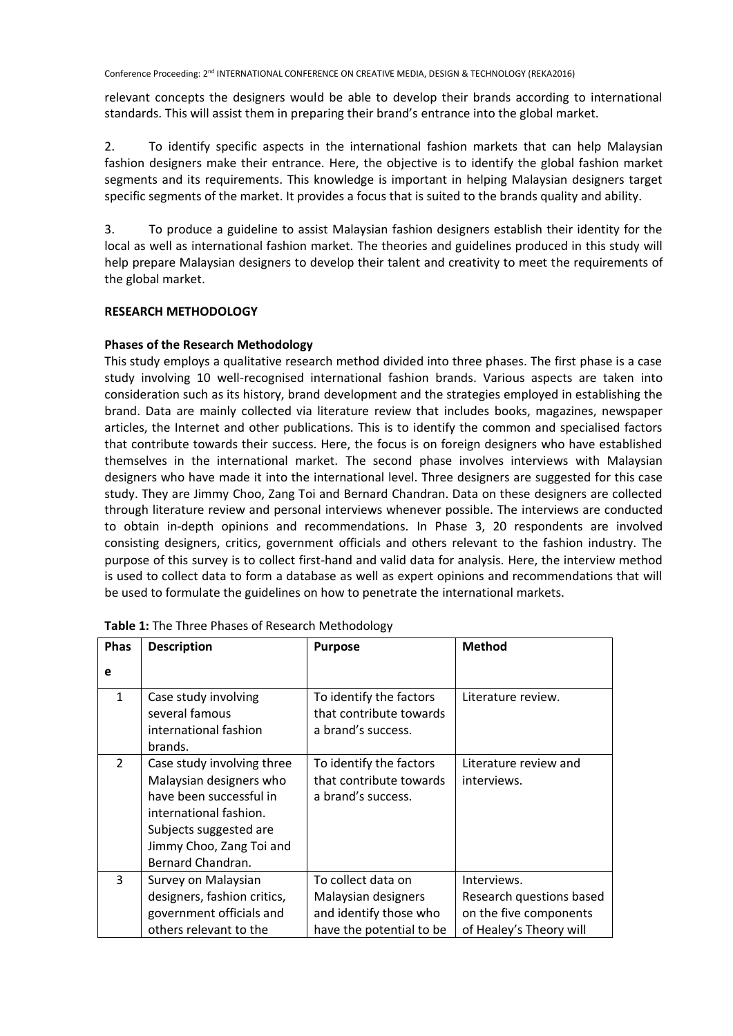relevant concepts the designers would be able to develop their brands according to international standards. This will assist them in preparing their brand's entrance into the global market.

2. To identify specific aspects in the international fashion markets that can help Malaysian fashion designers make their entrance. Here, the objective is to identify the global fashion market segments and its requirements. This knowledge is important in helping Malaysian designers target specific segments of the market. It provides a focus that is suited to the brands quality and ability.

3. To produce a guideline to assist Malaysian fashion designers establish their identity for the local as well as international fashion market. The theories and guidelines produced in this study will help prepare Malaysian designers to develop their talent and creativity to meet the requirements of the global market.

# **RESEARCH METHODOLOGY**

## **Phases of the Research Methodology**

This study employs a qualitative research method divided into three phases. The first phase is a case study involving 10 well-recognised international fashion brands. Various aspects are taken into consideration such as its history, brand development and the strategies employed in establishing the brand. Data are mainly collected via literature review that includes books, magazines, newspaper articles, the Internet and other publications. This is to identify the common and specialised factors that contribute towards their success. Here, the focus is on foreign designers who have established themselves in the international market. The second phase involves interviews with Malaysian designers who have made it into the international level. Three designers are suggested for this case study. They are Jimmy Choo, Zang Toi and Bernard Chandran. Data on these designers are collected through literature review and personal interviews whenever possible. The interviews are conducted to obtain in-depth opinions and recommendations. In Phase 3, 20 respondents are involved consisting designers, critics, government officials and others relevant to the fashion industry. The purpose of this survey is to collect first-hand and valid data for analysis. Here, the interview method is used to collect data to form a database as well as expert opinions and recommendations that will be used to formulate the guidelines on how to penetrate the international markets.

| Phas          | <b>Description</b>                                                                                                                                                                    | <b>Purpose</b>                                                                                  | <b>Method</b>                                                                                |
|---------------|---------------------------------------------------------------------------------------------------------------------------------------------------------------------------------------|-------------------------------------------------------------------------------------------------|----------------------------------------------------------------------------------------------|
| e             |                                                                                                                                                                                       |                                                                                                 |                                                                                              |
| $\mathbf{1}$  | Case study involving<br>several famous<br>international fashion<br>brands.                                                                                                            | To identify the factors<br>that contribute towards<br>a brand's success.                        | Literature review.                                                                           |
| $\mathcal{P}$ | Case study involving three<br>Malaysian designers who<br>have been successful in<br>international fashion.<br>Subjects suggested are<br>Jimmy Choo, Zang Toi and<br>Bernard Chandran. | To identify the factors<br>that contribute towards<br>a brand's success.                        | Literature review and<br>interviews.                                                         |
| 3             | Survey on Malaysian<br>designers, fashion critics,<br>government officials and<br>others relevant to the                                                                              | To collect data on<br>Malaysian designers<br>and identify those who<br>have the potential to be | Interviews.<br>Research questions based<br>on the five components<br>of Healey's Theory will |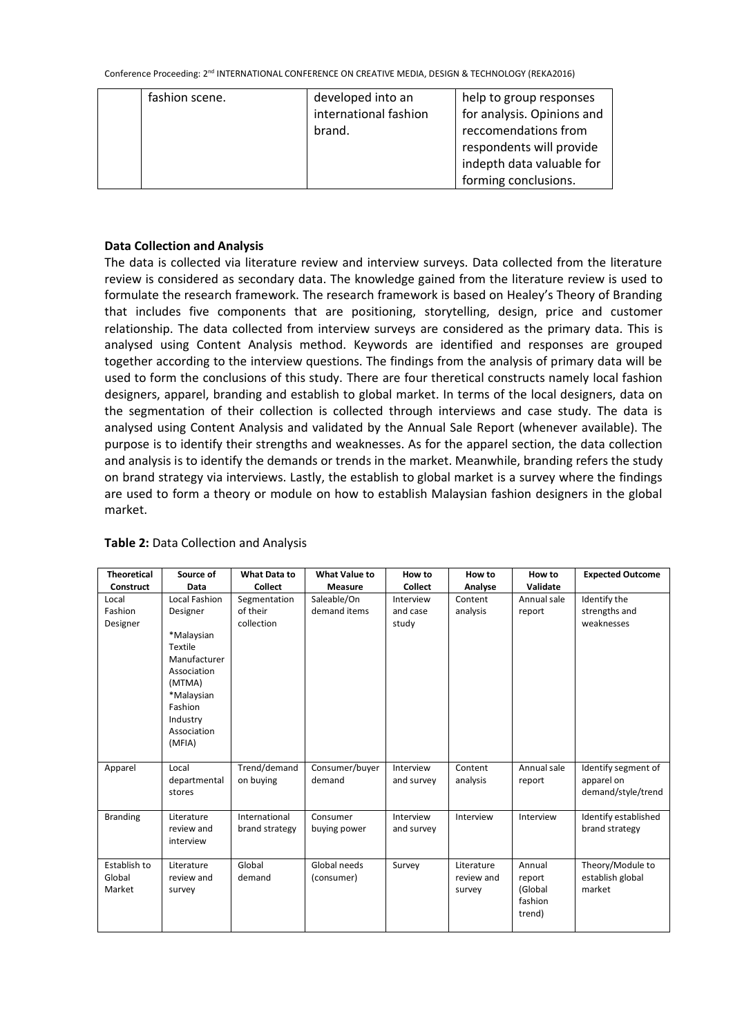| fashion scene. | developed into an     | help to group responses    |
|----------------|-----------------------|----------------------------|
|                | international fashion | for analysis. Opinions and |
|                | brand.                | reccomendations from       |
|                |                       | respondents will provide   |
|                |                       | indepth data valuable for  |
|                |                       | forming conclusions.       |

## **Data Collection and Analysis**

The data is collected via literature review and interview surveys. Data collected from the literature review is considered as secondary data. The knowledge gained from the literature review is used to formulate the research framework. The research framework is based on Healey's Theory of Branding that includes five components that are positioning, storytelling, design, price and customer relationship. The data collected from interview surveys are considered as the primary data. This is analysed using Content Analysis method. Keywords are identified and responses are grouped together according to the interview questions. The findings from the analysis of primary data will be used to form the conclusions of this study. There are four theretical constructs namely local fashion designers, apparel, branding and establish to global market. In terms of the local designers, data on the segmentation of their collection is collected through interviews and case study. The data is analysed using Content Analysis and validated by the Annual Sale Report (whenever available). The purpose is to identify their strengths and weaknesses. As for the apparel section, the data collection and analysis is to identify the demands or trends in the market. Meanwhile, branding refers the study on brand strategy via interviews. Lastly, the establish to global market is a survey where the findings are used to form a theory or module on how to establish Malaysian fashion designers in the global market.

| <b>Theoretical</b>               | Source of                                                                                                                                                 | <b>What Data to</b>                    | <b>What Value to</b>        | How to                         | How to                             | How to                                           | <b>Expected Outcome</b>                                 |
|----------------------------------|-----------------------------------------------------------------------------------------------------------------------------------------------------------|----------------------------------------|-----------------------------|--------------------------------|------------------------------------|--------------------------------------------------|---------------------------------------------------------|
| <b>Construct</b>                 | Data                                                                                                                                                      | <b>Collect</b>                         | <b>Measure</b>              | <b>Collect</b>                 | Analyse                            | Validate                                         |                                                         |
| Local<br>Fashion<br>Designer     | Local Fashion<br>Designer<br>*Malaysian<br>Textile<br>Manufacturer<br>Association<br>(MTMA)<br>*Malaysian<br>Fashion<br>Industry<br>Association<br>(MFIA) | Segmentation<br>of their<br>collection | Saleable/On<br>demand items | Interview<br>and case<br>study | Content<br>analysis                | Annual sale<br>report                            | Identify the<br>strengths and<br>weaknesses             |
| Apparel                          | Local<br>departmental<br>stores                                                                                                                           | Trend/demand<br>on buying              | Consumer/buyer<br>demand    | Interview<br>and survey        | Content<br>analysis                | Annual sale<br>report                            | Identify segment of<br>apparel on<br>demand/style/trend |
| <b>Branding</b>                  | Literature<br>review and<br>interview                                                                                                                     | International<br>brand strategy        | Consumer<br>buying power    | Interview<br>and survey        | Interview                          | Interview                                        | Identify established<br>brand strategy                  |
| Establish to<br>Global<br>Market | Literature<br>review and<br>survey                                                                                                                        | Global<br>demand                       | Global needs<br>(consumer)  | Survey                         | Literature<br>review and<br>survey | Annual<br>report<br>(Global<br>fashion<br>trend) | Theory/Module to<br>establish global<br>market          |

# **Table 2:** Data Collection and Analysis